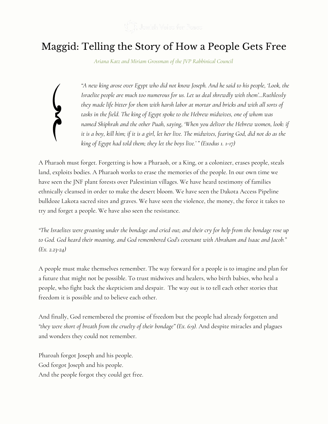

## Maggid: Telling the Story of How a People Gets Free

*Ariana Katz and Miriam Grossman of the JVP Rabbinical Council*

*"A new king arose over Egypt who did not know Joseph. And he said to his people, 'Look, the Israelite people are much too numerous for us. Let us deal shrewdly with them'...Ruthlessly they made life bitter for them with harsh labor at mortar and bricks and with all sorts of tasks in the field. The king of Egypt spoke to the Hebrew midwives, one of whom was named Shiphrah and the other Puah, saying, 'When you deliver the Hebrew women, look: if* it is a boy, kill him; if it is a girl, let her live. The midwives, fearing God, did not do as the *king of Egypt had told them; they let the boys live.' " (Exodus 1. 1-17)*

A Pharaoh must forget. Forgetting is how a Pharaoh, or a King, or a colonizer, erases people, steals land, exploits bodies. A Pharaoh works to erase the memories of the people. In our own time we have seen the JNF plant forests over Palestinian villages. We have heard testimony of families ethnically cleansed in order to make the desert bloom. We have seen the Dakota Access Pipeline bulldoze Lakota sacred sites and graves. We have seen the violence, the money, the force it takes to try and forget a people. We have also seen the resistance.

"The Israelites were groaning under the bondage and cried out; and their cry for help from the bondage rose up *to God. God heard their moaning, and God remembered God's covenant with Abraham and Isaac and Jacob." (Ex. 2.23-24)*

A people must make themselves remember. The way forward for a people is to imagine and plan for a future that might not be possible. To trust midwives and healers, who birth babies, who heal a people, who fight back the skepticism and despair. The way out is to tell each other stories that freedom it is possible and to believe each other.

And finally, God remembered the promise of freedom but the people had already forgotten and *"they were short of breath from the cruelty of their bondage" (Ex. 6:9).* And despite miracles and plagues and wonders they could not remember.

Pharoah forgot Joseph and his people. God forgot Joseph and his people. And the people forgot they could get free.